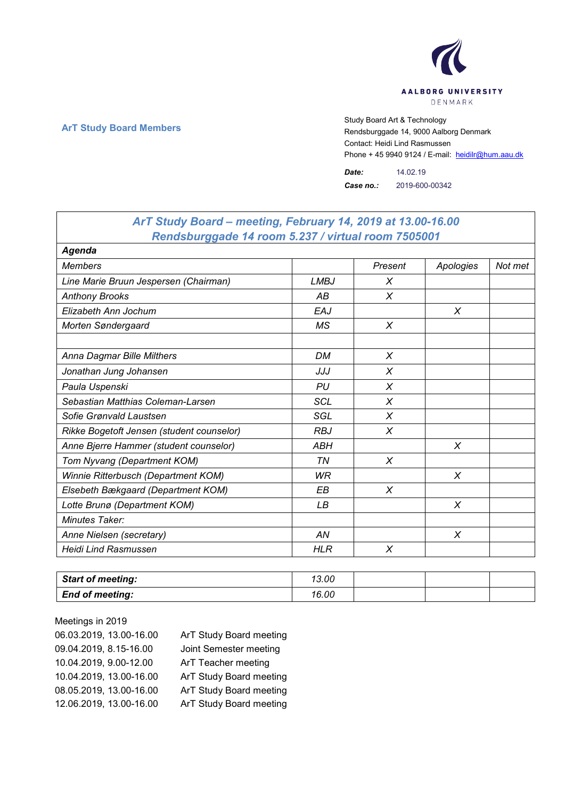

٦

 $\Gamma$ 

**ArT Study Board Members** Study Board Art & Technology **Art Study Board Art & Technology** Rendsburggade 14, 9000 Aalborg Denmark Contact: Heidi Lind Rasmussen Phone + 45 9940 9124 / E-mail: heidilr@hum.aau.dk

> *Date:* 14.02.19 *Case no.:* 2019-600-00342

| ArT Study Board – meeting, February 14, 2019 at 13.00-16.00 |             |         |           |         |
|-------------------------------------------------------------|-------------|---------|-----------|---------|
| Rendsburggade 14 room 5.237 / virtual room 7505001          |             |         |           |         |
| Agenda                                                      |             |         |           |         |
| <b>Members</b>                                              |             | Present | Apologies | Not met |
| Line Marie Bruun Jespersen (Chairman)                       | <b>LMBJ</b> | X       |           |         |
| <b>Anthony Brooks</b>                                       | АB          | X       |           |         |
| Elizabeth Ann Jochum                                        | EAJ         |         | X         |         |
| Morten Søndergaard                                          | MS          | X       |           |         |
|                                                             |             |         |           |         |
| Anna Dagmar Bille Milthers                                  | <b>DM</b>   | X       |           |         |
| Jonathan Jung Johansen                                      | JJJ         | X       |           |         |
| Paula Uspenski                                              | PU          | X       |           |         |
| Sebastian Matthias Coleman-Larsen                           | SCL         | X       |           |         |
| Sofie Grønvald Laustsen                                     | SGL         | X       |           |         |
| Rikke Bogetoft Jensen (student counselor)                   | <b>RBJ</b>  | X       |           |         |
| Anne Bjerre Hammer (student counselor)                      | <b>ABH</b>  |         | $\chi$    |         |
| Tom Nyvang (Department KOM)                                 | TN          | X       |           |         |
| Winnie Ritterbusch (Department KOM)                         | <b>WR</b>   |         | $\chi$    |         |
| Elsebeth Bækgaard (Department KOM)                          | EВ          | X       |           |         |
| Lotte Brunø (Department KOM)                                | LВ          |         | X         |         |
| Minutes Taker:                                              |             |         |           |         |
| Anne Nielsen (secretary)                                    | AN          |         | $\chi$    |         |
| <b>Heidi Lind Rasmussen</b>                                 | <b>HLR</b>  | X       |           |         |

| <b>Start of meeting:</b> | 13.00 |  |  |
|--------------------------|-------|--|--|
| <b>End of meeting:</b>   | 16.00 |  |  |

Meetings in 2019 06.03.2019, 13.00-16.00 ArT Study Board meeting 09.04.2019, 8.15-16.00 Joint Semester meeting 10.04.2019, 9.00-12.00 ArT Teacher meeting 10.04.2019, 13.00-16.00 ArT Study Board meeting 08.05.2019, 13.00-16.00 ArT Study Board meeting 12.06.2019, 13.00-16.00 ArT Study Board meeting

## *ArT Study Board – meeting, February 14, 2019 at 13.00-16.00*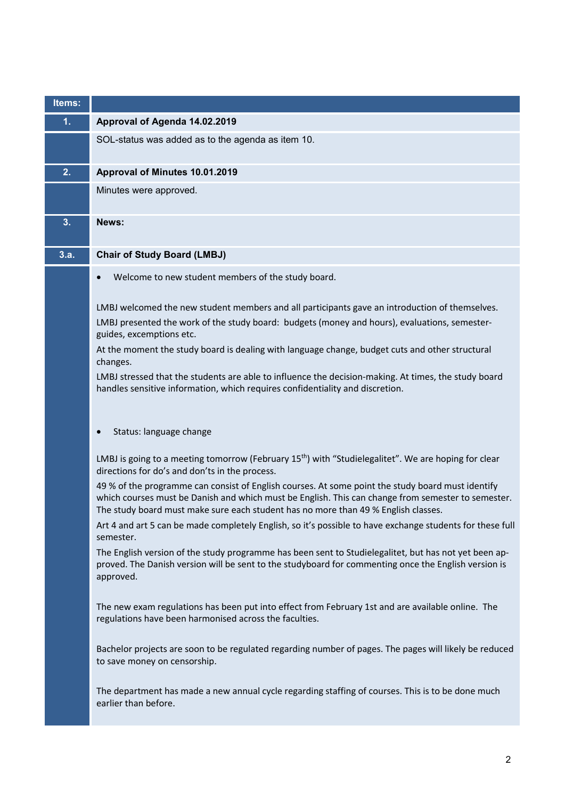| Items: |                                                                                                                                                                                                                                                                                               |
|--------|-----------------------------------------------------------------------------------------------------------------------------------------------------------------------------------------------------------------------------------------------------------------------------------------------|
| 1.     | Approval of Agenda 14.02.2019                                                                                                                                                                                                                                                                 |
|        | SOL-status was added as to the agenda as item 10.                                                                                                                                                                                                                                             |
| 2.     | Approval of Minutes 10.01.2019                                                                                                                                                                                                                                                                |
|        | Minutes were approved.                                                                                                                                                                                                                                                                        |
| 3.     | News:                                                                                                                                                                                                                                                                                         |
| 3.a.   | <b>Chair of Study Board (LMBJ)</b>                                                                                                                                                                                                                                                            |
|        | Welcome to new student members of the study board.                                                                                                                                                                                                                                            |
|        | LMBJ welcomed the new student members and all participants gave an introduction of themselves.<br>LMBJ presented the work of the study board: budgets (money and hours), evaluations, semester-<br>guides, excemptions etc.                                                                   |
|        | At the moment the study board is dealing with language change, budget cuts and other structural<br>changes.                                                                                                                                                                                   |
|        | LMBJ stressed that the students are able to influence the decision-making. At times, the study board<br>handles sensitive information, which requires confidentiality and discretion.                                                                                                         |
|        | Status: language change                                                                                                                                                                                                                                                                       |
|        | LMBJ is going to a meeting tomorrow (February 15 <sup>th</sup> ) with "Studielegalitet". We are hoping for clear<br>directions for do's and don'ts in the process.                                                                                                                            |
|        | 49 % of the programme can consist of English courses. At some point the study board must identify<br>which courses must be Danish and which must be English. This can change from semester to semester.<br>The study board must make sure each student has no more than 49 % English classes. |
|        | Art 4 and art 5 can be made completely English, so it's possible to have exchange students for these full<br>semester.                                                                                                                                                                        |
|        | The English version of the study programme has been sent to Studielegalitet, but has not yet been ap-<br>proved. The Danish version will be sent to the studyboard for commenting once the English version is<br>approved.                                                                    |
|        | The new exam regulations has been put into effect from February 1st and are available online. The<br>regulations have been harmonised across the faculties.                                                                                                                                   |
|        | Bachelor projects are soon to be regulated regarding number of pages. The pages will likely be reduced<br>to save money on censorship.                                                                                                                                                        |
|        | The department has made a new annual cycle regarding staffing of courses. This is to be done much<br>earlier than before.                                                                                                                                                                     |
|        |                                                                                                                                                                                                                                                                                               |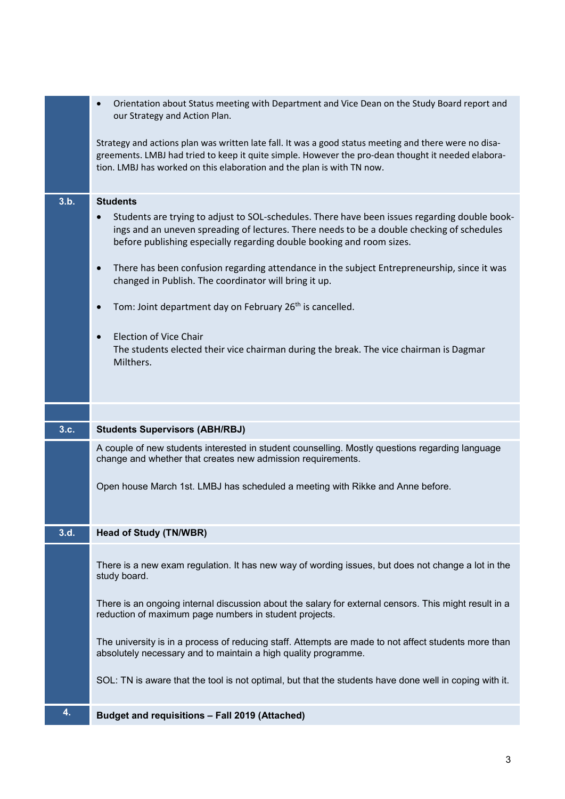|      | Orientation about Status meeting with Department and Vice Dean on the Study Board report and<br>our Strategy and Action Plan.                                                                                                                                                         |
|------|---------------------------------------------------------------------------------------------------------------------------------------------------------------------------------------------------------------------------------------------------------------------------------------|
|      | Strategy and actions plan was written late fall. It was a good status meeting and there were no disa-<br>greements. LMBJ had tried to keep it quite simple. However the pro-dean thought it needed elabora-<br>tion. LMBJ has worked on this elaboration and the plan is with TN now. |
| 3.b. | <b>Students</b>                                                                                                                                                                                                                                                                       |
|      | Students are trying to adjust to SOL-schedules. There have been issues regarding double book-<br>ings and an uneven spreading of lectures. There needs to be a double checking of schedules<br>before publishing especially regarding double booking and room sizes.                  |
|      | There has been confusion regarding attendance in the subject Entrepreneurship, since it was<br>changed in Publish. The coordinator will bring it up.                                                                                                                                  |
|      | Tom: Joint department day on February 26 <sup>th</sup> is cancelled.                                                                                                                                                                                                                  |
|      | <b>Election of Vice Chair</b><br>The students elected their vice chairman during the break. The vice chairman is Dagmar<br>Milthers.                                                                                                                                                  |
|      |                                                                                                                                                                                                                                                                                       |
|      |                                                                                                                                                                                                                                                                                       |
| 3.c. | <b>Students Supervisors (ABH/RBJ)</b>                                                                                                                                                                                                                                                 |
|      | A couple of new students interested in student counselling. Mostly questions regarding language<br>change and whether that creates new admission requirements.                                                                                                                        |
|      | Open house March 1st. LMBJ has scheduled a meeting with Rikke and Anne before.                                                                                                                                                                                                        |
| 3.d. | <b>Head of Study (TN/WBR)</b>                                                                                                                                                                                                                                                         |
|      | There is a new exam regulation. It has new way of wording issues, but does not change a lot in the<br>study board.                                                                                                                                                                    |
|      | There is an ongoing internal discussion about the salary for external censors. This might result in a<br>reduction of maximum page numbers in student projects.                                                                                                                       |
|      | The university is in a process of reducing staff. Attempts are made to not affect students more than<br>absolutely necessary and to maintain a high quality programme.                                                                                                                |
|      | SOL: TN is aware that the tool is not optimal, but that the students have done well in coping with it.                                                                                                                                                                                |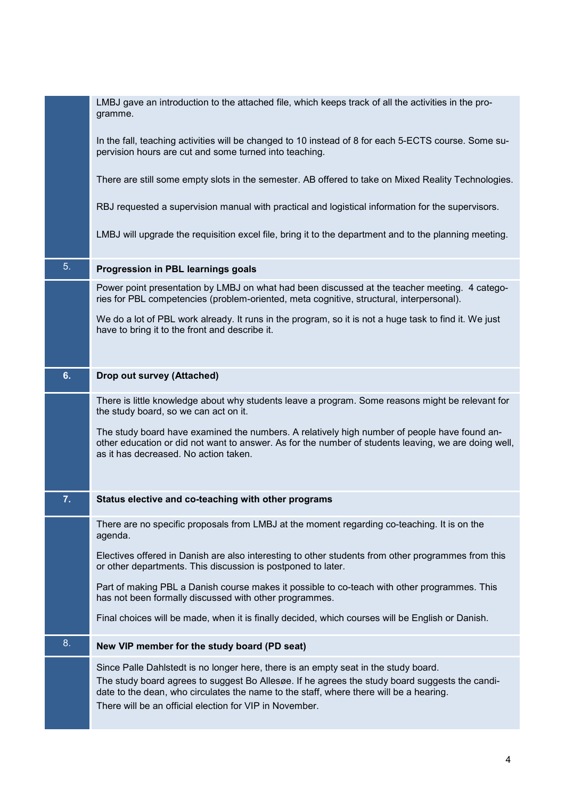|    | LMBJ gave an introduction to the attached file, which keeps track of all the activities in the pro-<br>gramme.                                                                                                                                      |
|----|-----------------------------------------------------------------------------------------------------------------------------------------------------------------------------------------------------------------------------------------------------|
|    | In the fall, teaching activities will be changed to 10 instead of 8 for each 5-ECTS course. Some su-<br>pervision hours are cut and some turned into teaching.                                                                                      |
|    | There are still some empty slots in the semester. AB offered to take on Mixed Reality Technologies.                                                                                                                                                 |
|    | RBJ requested a supervision manual with practical and logistical information for the supervisors.                                                                                                                                                   |
|    | LMBJ will upgrade the requisition excel file, bring it to the department and to the planning meeting.                                                                                                                                               |
| 5. | Progression in PBL learnings goals                                                                                                                                                                                                                  |
|    | Power point presentation by LMBJ on what had been discussed at the teacher meeting. 4 catego-<br>ries for PBL competencies (problem-oriented, meta cognitive, structural, interpersonal).                                                           |
|    | We do a lot of PBL work already. It runs in the program, so it is not a huge task to find it. We just<br>have to bring it to the front and describe it.                                                                                             |
| 6. | Drop out survey (Attached)                                                                                                                                                                                                                          |
|    |                                                                                                                                                                                                                                                     |
|    | There is little knowledge about why students leave a program. Some reasons might be relevant for<br>the study board, so we can act on it.                                                                                                           |
|    | The study board have examined the numbers. A relatively high number of people have found an-<br>other education or did not want to answer. As for the number of students leaving, we are doing well,<br>as it has decreased. No action taken.       |
| 7. | Status elective and co-teaching with other programs                                                                                                                                                                                                 |
|    | There are no specific proposals from LMBJ at the moment regarding co-teaching. It is on the<br>agenda.                                                                                                                                              |
|    | Electives offered in Danish are also interesting to other students from other programmes from this<br>or other departments. This discussion is postponed to later.                                                                                  |
|    | Part of making PBL a Danish course makes it possible to co-teach with other programmes. This<br>has not been formally discussed with other programmes.                                                                                              |
|    | Final choices will be made, when it is finally decided, which courses will be English or Danish.                                                                                                                                                    |
| 8. | New VIP member for the study board (PD seat)                                                                                                                                                                                                        |
|    | Since Palle Dahlstedt is no longer here, there is an empty seat in the study board.                                                                                                                                                                 |
|    | The study board agrees to suggest Bo Allesøe. If he agrees the study board suggests the candi-<br>date to the dean, who circulates the name to the staff, where there will be a hearing.<br>There will be an official election for VIP in November. |
|    |                                                                                                                                                                                                                                                     |

**Service Service**